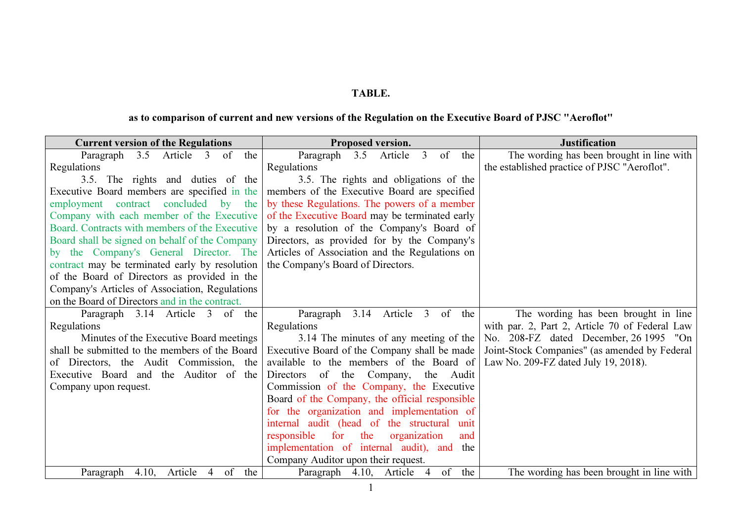## TABLE.

## as to comparison of current and new versions of the Regulation on the Executive Board of PJSC "Aeroflot"

| <b>Current version of the Regulations</b>       | Proposed version.                                       | <b>Justification</b>                           |
|-------------------------------------------------|---------------------------------------------------------|------------------------------------------------|
| Paragraph 3.5 Article 3 of<br>the               | Paragraph 3.5<br>Article<br>$\overline{3}$<br>of<br>the | The wording has been brought in line with      |
| Regulations                                     | Regulations                                             | the established practice of PJSC "Aeroflot".   |
| 3.5. The rights and duties of the               | 3.5. The rights and obligations of the                  |                                                |
| Executive Board members are specified in the    | members of the Executive Board are specified            |                                                |
| employment contract concluded by the            | by these Regulations. The powers of a member            |                                                |
| Company with each member of the Executive       | of the Executive Board may be terminated early          |                                                |
| Board. Contracts with members of the Executive  | by a resolution of the Company's Board of               |                                                |
| Board shall be signed on behalf of the Company  | Directors, as provided for by the Company's             |                                                |
| by the Company's General Director. The          | Articles of Association and the Regulations on          |                                                |
| contract may be terminated early by resolution  | the Company's Board of Directors.                       |                                                |
| of the Board of Directors as provided in the    |                                                         |                                                |
| Company's Articles of Association, Regulations  |                                                         |                                                |
| on the Board of Directors and in the contract.  |                                                         |                                                |
| Paragraph 3.14 Article 3 of the                 | 3.14 Article 3<br>of the<br>Paragraph                   | The wording has been brought in line           |
| Regulations                                     | Regulations                                             | with par. 2, Part 2, Article 70 of Federal Law |
| Minutes of the Executive Board meetings         | 3.14 The minutes of any meeting of the                  | No. 208-FZ dated December, 26 1995 "On         |
| shall be submitted to the members of the Board  | Executive Board of the Company shall be made            | Joint-Stock Companies" (as amended by Federal  |
| of Directors, the Audit Commission, the         | available to the members of the Board of                | Law No. 209-FZ dated July 19, 2018).           |
| Executive Board and the Auditor of the          | Directors of the Company, the<br>Audit                  |                                                |
| Company upon request.                           | Commission of the Company, the Executive                |                                                |
|                                                 | Board of the Company, the official responsible          |                                                |
|                                                 | for the organization and implementation of              |                                                |
|                                                 | internal audit (head of the structural<br>unit          |                                                |
|                                                 | for<br>the<br>responsible<br>organization<br>and        |                                                |
|                                                 | implementation of internal audit), and<br>the           |                                                |
|                                                 | Company Auditor upon their request.                     |                                                |
| of<br>4.10,<br>Article<br>the<br>Paragraph<br>4 | of<br>the<br>Paragraph 4.10, Article<br>$\overline{4}$  | The wording has been brought in line with      |